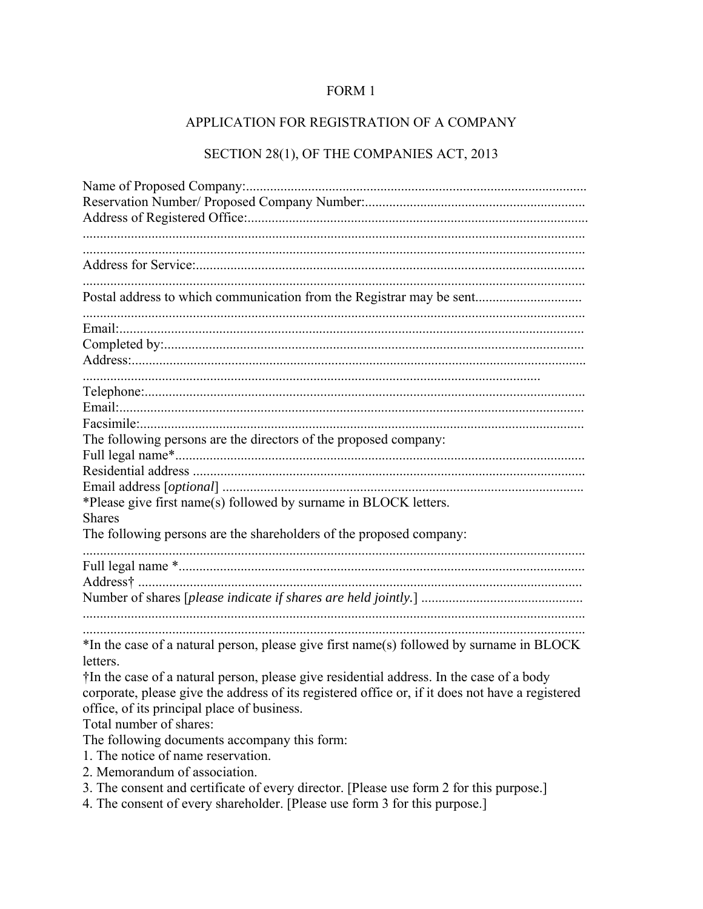## FORM 1

## APPLICATION FOR REGISTRATION OF A COMPANY

## SECTION 28(1), OF THE COMPANIES ACT, 2013

| Postal address to which communication from the Registrar may be sent                                 |
|------------------------------------------------------------------------------------------------------|
|                                                                                                      |
|                                                                                                      |
|                                                                                                      |
|                                                                                                      |
|                                                                                                      |
|                                                                                                      |
|                                                                                                      |
| The following persons are the directors of the proposed company:                                     |
|                                                                                                      |
|                                                                                                      |
| *Please give first name(s) followed by surname in BLOCK letters.                                     |
| <b>Shares</b>                                                                                        |
| The following persons are the shareholders of the proposed company:                                  |
|                                                                                                      |
|                                                                                                      |
|                                                                                                      |
|                                                                                                      |
|                                                                                                      |
| *In the case of a natural person, please give first name(s) followed by surname in BLOCK<br>letters. |
| †In the case of a natural person, please give residential address. In the case of a body             |
| corporate, please give the address of its registered office or, if it does not have a registered     |
| office, of its principal place of business.                                                          |
| Total number of shares:                                                                              |
| The following documents accompany this form:                                                         |
| 1. The notice of name reservation.                                                                   |
| 2. Memorandum of association.                                                                        |
| 3. The consent and certificate of every director. [Please use form 2 for this purpose.]              |

4. The consent of every shareholder. [Please use form 3 for this purpose.]